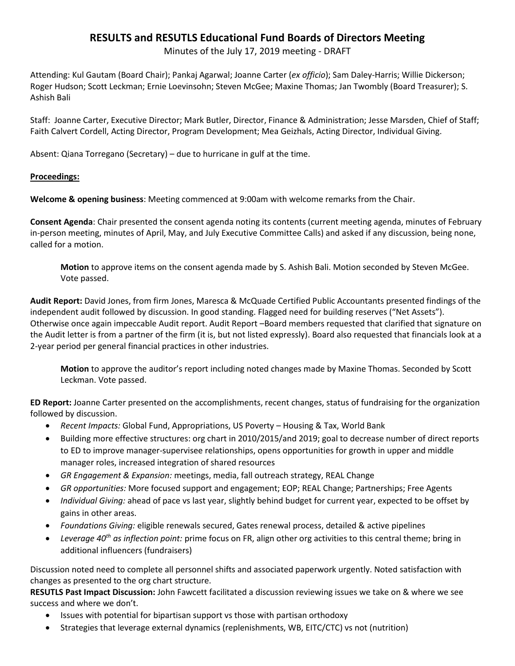## **RESULTS and RESUTLS Educational Fund Boards of Directors Meeting**

Minutes of the July 17, 2019 meeting - DRAFT

Attending: Kul Gautam (Board Chair); Pankaj Agarwal; Joanne Carter (*ex officio*); Sam Daley-Harris; Willie Dickerson; Roger Hudson; Scott Leckman; Ernie Loevinsohn; Steven McGee; Maxine Thomas; Jan Twombly (Board Treasurer); S. Ashish Bali

Staff: Joanne Carter, Executive Director; Mark Butler, Director, Finance & Administration; Jesse Marsden, Chief of Staff; Faith Calvert Cordell, Acting Director, Program Development; Mea Geizhals, Acting Director, Individual Giving.

Absent: Qiana Torregano (Secretary) – due to hurricane in gulf at the time.

## **Proceedings:**

**Welcome & opening business**: Meeting commenced at 9:00am with welcome remarks from the Chair.

**Consent Agenda**: Chair presented the consent agenda noting its contents (current meeting agenda, minutes of February in-person meeting, minutes of April, May, and July Executive Committee Calls) and asked if any discussion, being none, called for a motion.

**Motion** to approve items on the consent agenda made by S. Ashish Bali. Motion seconded by Steven McGee. Vote passed.

**Audit Report:** David Jones, from firm Jones, Maresca & McQuade Certified Public Accountants presented findings of the independent audit followed by discussion. In good standing. Flagged need for building reserves ("Net Assets"). Otherwise once again impeccable Audit report. Audit Report –Board members requested that clarified that signature on the Audit letter is from a partner of the firm (it is, but not listed expressly). Board also requested that financials look at a 2-year period per general financial practices in other industries.

**Motion** to approve the auditor's report including noted changes made by Maxine Thomas. Seconded by Scott Leckman. Vote passed.

**ED Report:** Joanne Carter presented on the accomplishments, recent changes, status of fundraising for the organization followed by discussion.

- *Recent Impacts:* Global Fund, Appropriations, US Poverty Housing & Tax, World Bank
- Building more effective structures: org chart in 2010/2015/and 2019; goal to decrease number of direct reports to ED to improve manager-supervisee relationships, opens opportunities for growth in upper and middle manager roles, increased integration of shared resources
- *GR Engagement & Expansion:* meetings, media, fall outreach strategy, REAL Change
- *GR opportunities:* More focused support and engagement; EOP; REAL Change; Partnerships; Free Agents
- *Individual Giving:* ahead of pace vs last year, slightly behind budget for current year, expected to be offset by gains in other areas.
- *Foundations Giving:* eligible renewals secured, Gates renewal process, detailed & active pipelines
- *Leverage 40th as inflection point:* prime focus on FR, align other org activities to this central theme; bring in additional influencers (fundraisers)

Discussion noted need to complete all personnel shifts and associated paperwork urgently. Noted satisfaction with changes as presented to the org chart structure.

**RESUTLS Past Impact Discussion:** John Fawcett facilitated a discussion reviewing issues we take on & where we see success and where we don't.

- Issues with potential for bipartisan support vs those with partisan orthodoxy
- Strategies that leverage external dynamics (replenishments, WB, EITC/CTC) vs not (nutrition)